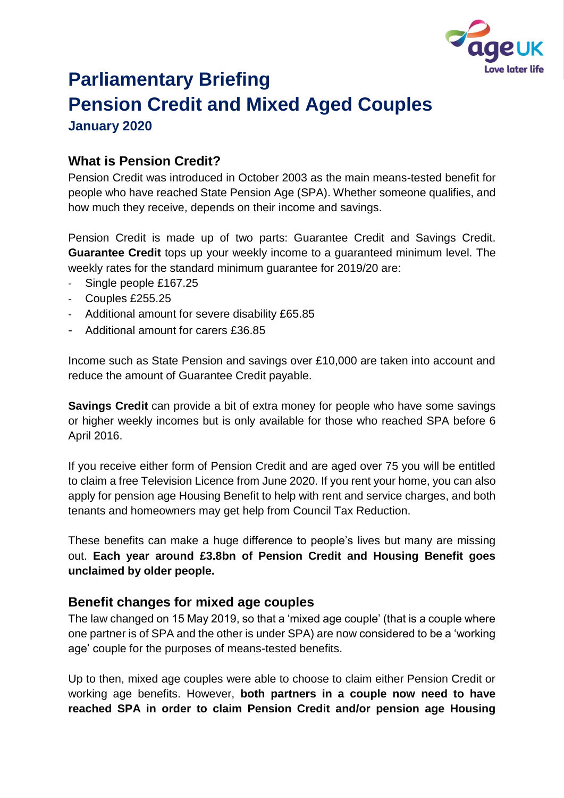

# **Parliamentary Briefing Pension Credit and Mixed Aged Couples January 2020**

### **What is Pension Credit?**

Pension Credit was introduced in October 2003 as the main means-tested benefit for people who have reached State Pension Age (SPA). Whether someone qualifies, and how much they receive, depends on their income and savings.

Pension Credit is made up of two parts: Guarantee Credit and Savings Credit. **Guarantee Credit** tops up your weekly income to a guaranteed minimum level. The weekly rates for the standard minimum guarantee for 2019/20 are:

- Single people £167.25
- Couples £255.25
- Additional amount for severe disability £65.85
- Additional amount for carers £36.85

Income such as State Pension and savings over £10,000 are taken into account and reduce the amount of Guarantee Credit payable.

**Savings Credit** can provide a bit of extra money for people who have some savings or higher weekly incomes but is only available for those who reached SPA before 6 April 2016.

If you receive either form of Pension Credit and are aged over 75 you will be entitled to claim a free Television Licence from June 2020. If you rent your home, you can also apply for pension age Housing Benefit to help with rent and service charges, and both tenants and homeowners may get help from Council Tax Reduction.

These benefits can make a huge difference to people's lives but many are missing out. **Each year around £3.8bn of Pension Credit and Housing Benefit goes unclaimed by older people.** 

#### **Benefit changes for mixed age couples**

The law changed on 15 May 2019, so that a 'mixed age couple' (that is a couple where one partner is of SPA and the other is under SPA) are now considered to be a 'working age' couple for the purposes of means-tested benefits.

Up to then, mixed age couples were able to choose to claim either Pension Credit or working age benefits. However, **both partners in a couple now need to have reached SPA in order to claim Pension Credit and/or pension age Housing**